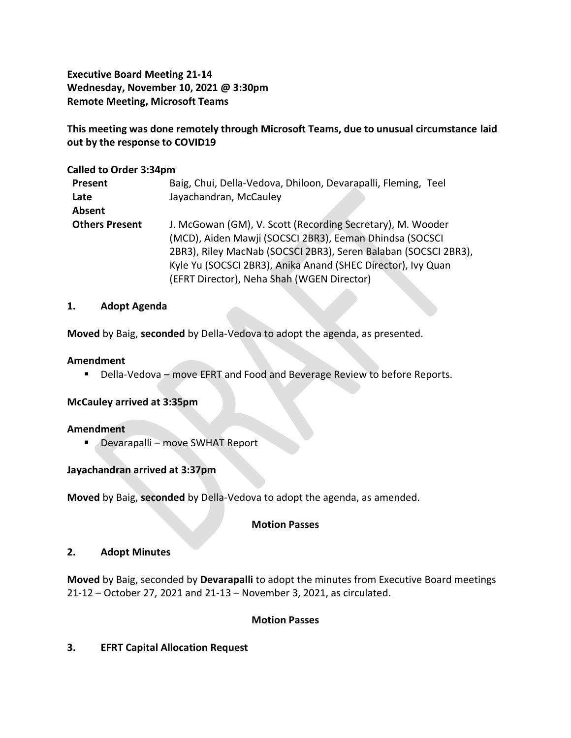**Executive Board Meeting 21-14 Wednesday, November 10, 2021 @ 3:30pm Remote Meeting, Microsoft Teams**

**This meeting was done remotely through Microsoft Teams, due to unusual circumstance laid out by the response to COVID19**

### **Called to Order 3:34pm**

| Present               | Baig, Chui, Della-Vedova, Dhiloon, Devarapalli, Fleming, Teel   |
|-----------------------|-----------------------------------------------------------------|
| Late                  | Jayachandran, McCauley                                          |
| Absent                |                                                                 |
| <b>Others Present</b> | J. McGowan (GM), V. Scott (Recording Secretary), M. Wooder      |
|                       | (MCD), Aiden Mawji (SOCSCI 2BR3), Eeman Dhindsa (SOCSCI         |
|                       | 2BR3), Riley MacNab (SOCSCI 2BR3), Seren Balaban (SOCSCI 2BR3), |
|                       | Kyle Yu (SOCSCI 2BR3), Anika Anand (SHEC Director), Ivy Quan    |
|                       | (EFRT Director), Neha Shah (WGEN Director)                      |

#### **1. Adopt Agenda**

**Moved** by Baig, **seconded** by Della-Vedova to adopt the agenda, as presented.

#### **Amendment**

■ Della-Vedova – move EFRT and Food and Beverage Review to before Reports.

#### **McCauley arrived at 3:35pm**

#### **Amendment**

■ Devarapalli – move SWHAT Report

## **Jayachandran arrived at 3:37pm**

**Moved** by Baig, **seconded** by Della-Vedova to adopt the agenda, as amended.

#### **Motion Passes**

#### **2. Adopt Minutes**

**Moved** by Baig, seconded by **Devarapalli** to adopt the minutes from Executive Board meetings 21-12 – October 27, 2021 and 21-13 – November 3, 2021, as circulated.

#### **Motion Passes**

#### **3. EFRT Capital Allocation Request**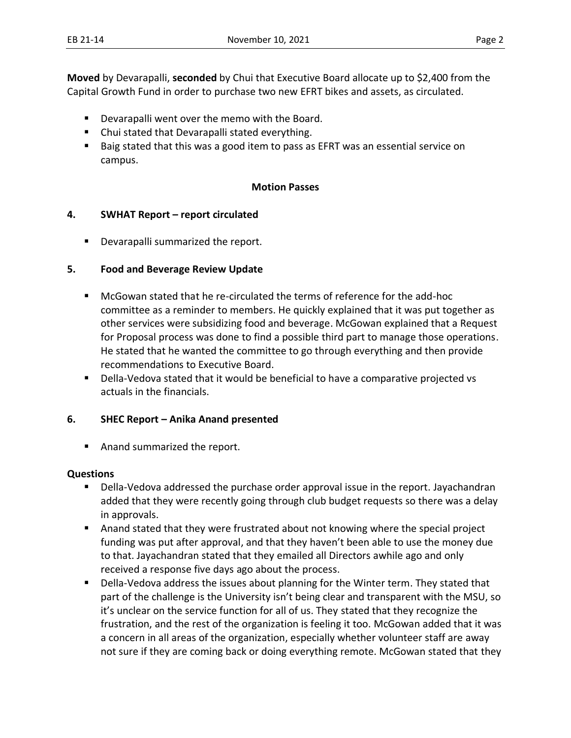**Moved** by Devarapalli, **seconded** by Chui that Executive Board allocate up to \$2,400 from the Capital Growth Fund in order to purchase two new EFRT bikes and assets, as circulated.

- Devarapalli went over the memo with the Board.
- Chui stated that Devarapalli stated everything.
- Baig stated that this was a good item to pass as EFRT was an essential service on campus.

#### **Motion Passes**

#### **4. SWHAT Report – report circulated**

■ Devarapalli summarized the report.

#### **5. Food and Beverage Review Update**

- McGowan stated that he re-circulated the terms of reference for the add-hoc committee as a reminder to members. He quickly explained that it was put together as other services were subsidizing food and beverage. McGowan explained that a Request for Proposal process was done to find a possible third part to manage those operations. He stated that he wanted the committee to go through everything and then provide recommendations to Executive Board.
- Della-Vedova stated that it would be beneficial to have a comparative projected vs actuals in the financials.

#### **6. SHEC Report – Anika Anand presented**

■ Anand summarized the report.

#### **Questions**

- Della-Vedova addressed the purchase order approval issue in the report. Jayachandran added that they were recently going through club budget requests so there was a delay in approvals.
- Anand stated that they were frustrated about not knowing where the special project funding was put after approval, and that they haven't been able to use the money due to that. Jayachandran stated that they emailed all Directors awhile ago and only received a response five days ago about the process.
- Della-Vedova address the issues about planning for the Winter term. They stated that part of the challenge is the University isn't being clear and transparent with the MSU, so it's unclear on the service function for all of us. They stated that they recognize the frustration, and the rest of the organization is feeling it too. McGowan added that it was a concern in all areas of the organization, especially whether volunteer staff are away not sure if they are coming back or doing everything remote. McGowan stated that they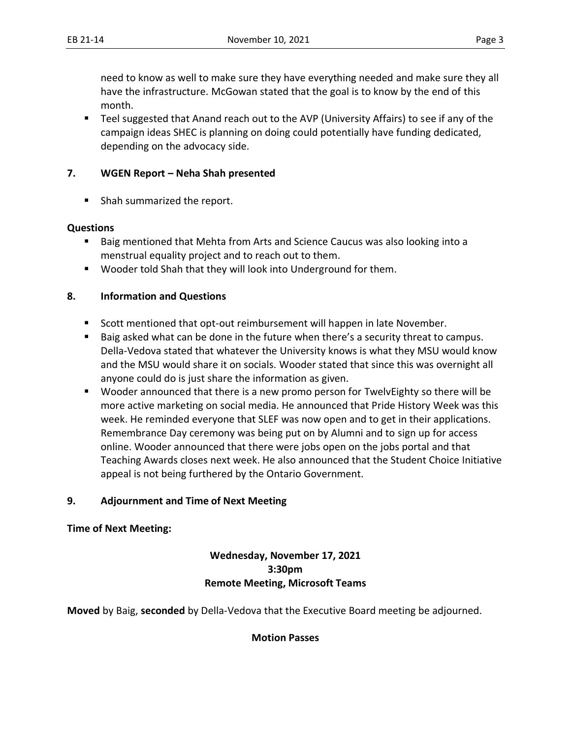need to know as well to make sure they have everything needed and make sure they all have the infrastructure. McGowan stated that the goal is to know by the end of this month.

■ Teel suggested that Anand reach out to the AVP (University Affairs) to see if any of the campaign ideas SHEC is planning on doing could potentially have funding dedicated, depending on the advocacy side.

## **7. WGEN Report – Neha Shah presented**

■ Shah summarized the report.

#### **Questions**

- Baig mentioned that Mehta from Arts and Science Caucus was also looking into a menstrual equality project and to reach out to them.
- Wooder told Shah that they will look into Underground for them.

### **8. Information and Questions**

- Scott mentioned that opt-out reimbursement will happen in late November.
- Baig asked what can be done in the future when there's a security threat to campus. Della-Vedova stated that whatever the University knows is what they MSU would know and the MSU would share it on socials. Wooder stated that since this was overnight all anyone could do is just share the information as given.
- Wooder announced that there is a new promo person for TwelvEighty so there will be more active marketing on social media. He announced that Pride History Week was this week. He reminded everyone that SLEF was now open and to get in their applications. Remembrance Day ceremony was being put on by Alumni and to sign up for access online. Wooder announced that there were jobs open on the jobs portal and that Teaching Awards closes next week. He also announced that the Student Choice Initiative appeal is not being furthered by the Ontario Government.

#### **9. Adjournment and Time of Next Meeting**

**Time of Next Meeting:** 

## **Wednesday, November 17, 2021 3:30pm Remote Meeting, Microsoft Teams**

**Moved** by Baig, **seconded** by Della-Vedova that the Executive Board meeting be adjourned.

## **Motion Passes**